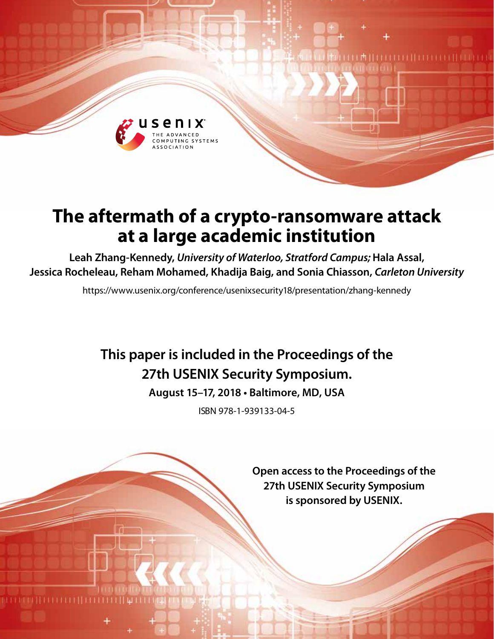

# **The aftermath of a crypto-ransomware attack at a large academic institution**

**Leah Zhang-Kennedy,** *University of Waterloo, Stratford Campus;* **Hala Assal, Jessica Rocheleau, Reham Mohamed, Khadija Baig, and Sonia Chiasson,** *Carleton University*

https://www.usenix.org/conference/usenixsecurity18/presentation/zhang-kennedy

# **This paper is included in the Proceedings of the 27th USENIX Security Symposium.**

**August 15–17, 2018 • Baltimore, MD, USA**

ISBN 978-1-939133-04-5

**Open access to the Proceedings of the 27th USENIX Security Symposium is sponsored by USENIX.**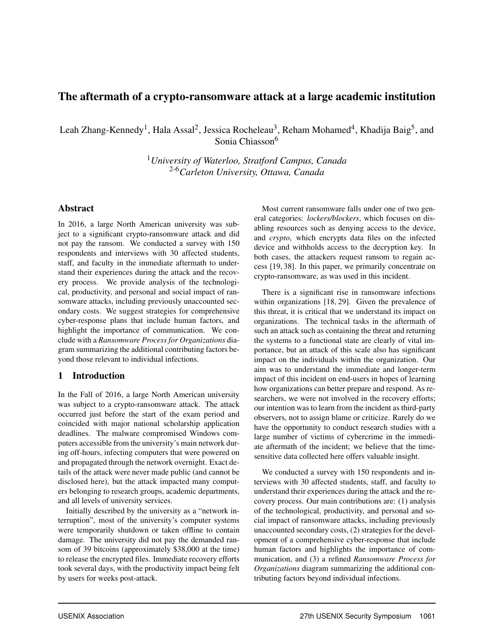## The aftermath of a crypto-ransomware attack at a large academic institution

Leah Zhang-Kennedy<sup>1</sup>, Hala Assal<sup>2</sup>, Jessica Rocheleau<sup>3</sup>, Reham Mohamed<sup>4</sup>, Khadija Baig<sup>5</sup>, and Sonia Chiasson<sup>6</sup>

> <sup>1</sup>*University of Waterloo, Stratford Campus, Canada* 2-6*Carleton University, Ottawa, Canada*

## Abstract

In 2016, a large North American university was subject to a significant crypto-ransomware attack and did not pay the ransom. We conducted a survey with 150 respondents and interviews with 30 affected students, staff, and faculty in the immediate aftermath to understand their experiences during the attack and the recovery process. We provide analysis of the technological, productivity, and personal and social impact of ransomware attacks, including previously unaccounted secondary costs. We suggest strategies for comprehensive cyber-response plans that include human factors, and highlight the importance of communication. We conclude with a *Ransomware Process for Organizations* diagram summarizing the additional contributing factors beyond those relevant to individual infections.

## 1 Introduction

In the Fall of 2016, a large North American university was subject to a crypto-ransomware attack. The attack occurred just before the start of the exam period and coincided with major national scholarship application deadlines. The malware compromised Windows computers accessible from the university's main network during off-hours, infecting computers that were powered on and propagated through the network overnight. Exact details of the attack were never made public (and cannot be disclosed here), but the attack impacted many computers belonging to research groups, academic departments, and all levels of university services.

Initially described by the university as a "network interruption", most of the university's computer systems were temporarily shutdown or taken offline to contain damage. The university did not pay the demanded ransom of 39 bitcoins (approximately \$38,000 at the time) to release the encrypted files. Immediate recovery efforts took several days, with the productivity impact being felt by users for weeks post-attack.

Most current ransomware falls under one of two general categories: *lockers/blockers*, which focuses on disabling resources such as denying access to the device, and *crypto*, which encrypts data files on the infected device and withholds access to the decryption key. In both cases, the attackers request ransom to regain access [19, 38]. In this paper, we primarily concentrate on crypto-ransomware, as was used in this incident.

There is a significant rise in ransomware infections within organizations [18, 29]. Given the prevalence of this threat, it is critical that we understand its impact on organizations. The technical tasks in the aftermath of such an attack such as containing the threat and returning the systems to a functional state are clearly of vital importance, but an attack of this scale also has significant impact on the individuals within the organization. Our aim was to understand the immediate and longer-term impact of this incident on end-users in hopes of learning how organizations can better prepare and respond. As researchers, we were not involved in the recovery efforts; our intention was to learn from the incident as third-party observers, not to assign blame or criticize. Rarely do we have the opportunity to conduct research studies with a large number of victims of cybercrime in the immediate aftermath of the incident; we believe that the timesensitive data collected here offers valuable insight.

We conducted a survey with 150 respondents and interviews with 30 affected students, staff, and faculty to understand their experiences during the attack and the recovery process. Our main contributions are: (1) analysis of the technological, productivity, and personal and social impact of ransomware attacks, including previously unaccounted secondary costs, (2) strategies for the development of a comprehensive cyber-response that include human factors and highlights the importance of communication, and (3) a refined *Ransomware Process for Organizations* diagram summarizing the additional contributing factors beyond individual infections.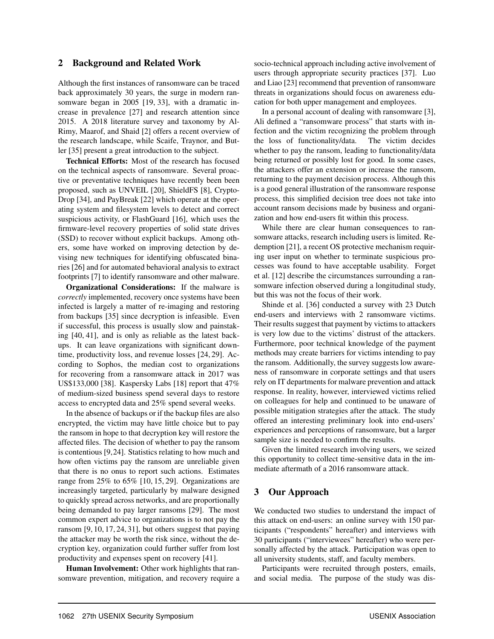## 2 Background and Related Work

Although the first instances of ransomware can be traced back approximately 30 years, the surge in modern ransomware began in 2005 [19, 33], with a dramatic increase in prevalence [27] and research attention since 2015. A 2018 literature survey and taxonomy by Al-Rimy, Maarof, and Shaid [2] offers a recent overview of the research landscape, while Scaife, Traynor, and Butler [35] present a great introduction to the subject.

Technical Efforts: Most of the research has focused on the technical aspects of ransomware. Several proactive or preventative techniques have recently been been proposed, such as UNVEIL [20], ShieldFS [8], Crypto-Drop [34], and PayBreak [22] which operate at the operating system and filesystem levels to detect and correct suspicious activity, or FlashGuard [16], which uses the firmware-level recovery properties of solid state drives (SSD) to recover without explicit backups. Among others, some have worked on improving detection by devising new techniques for identifying obfuscated binaries [26] and for automated behavioral analysis to extract footprints [7] to identify ransomware and other malware.

Organizational Considerations: If the malware is *correctly* implemented, recovery once systems have been infected is largely a matter of re-imaging and restoring from backups [35] since decryption is infeasible. Even if successful, this process is usually slow and painstaking [40, 41], and is only as reliable as the latest backups. It can leave organizations with significant downtime, productivity loss, and revenue losses [24, 29]. According to Sophos, the median cost to organizations for recovering from a ransomware attack in 2017 was US\$133,000 [38]. Kaspersky Labs [18] report that 47% of medium-sized business spend several days to restore access to encrypted data and 25% spend several weeks.

In the absence of backups or if the backup files are also encrypted, the victim may have little choice but to pay the ransom in hope to that decryption key will restore the affected files. The decision of whether to pay the ransom is contentious [9,24]. Statistics relating to how much and how often victims pay the ransom are unreliable given that there is no onus to report such actions. Estimates range from 25% to 65% [10, 15, 29]. Organizations are increasingly targeted, particularly by malware designed to quickly spread across networks, and are proportionally being demanded to pay larger ransoms [29]. The most common expert advice to organizations is to not pay the ransom [9, 10, 17, 24, 31], but others suggest that paying the attacker may be worth the risk since, without the decryption key, organization could further suffer from lost productivity and expenses spent on recovery [41].

Human Involvement: Other work highlights that ransomware prevention, mitigation, and recovery require a socio-technical approach including active involvement of users through appropriate security practices [37]. Luo and Liao [23] recommend that prevention of ransomware threats in organizations should focus on awareness education for both upper management and employees.

In a personal account of dealing with ransomware [3], Ali defined a "ransomware process" that starts with infection and the victim recognizing the problem through the loss of functionality/data. The victim decides whether to pay the ransom, leading to functionality/data being returned or possibly lost for good. In some cases, the attackers offer an extension or increase the ransom, returning to the payment decision process. Although this is a good general illustration of the ransomware response process, this simplified decision tree does not take into account ransom decisions made by business and organization and how end-users fit within this process.

While there are clear human consequences to ransomware attacks, research including users is limited. Redemption [21], a recent OS protective mechanism requiring user input on whether to terminate suspicious processes was found to have acceptable usability. Forget et al. [12] describe the circumstances surrounding a ransomware infection observed during a longitudinal study, but this was not the focus of their work.

Shinde et al. [36] conducted a survey with 23 Dutch end-users and interviews with 2 ransomware victims. Their results suggest that payment by victims to attackers is very low due to the victims' distrust of the attackers. Furthermore, poor technical knowledge of the payment methods may create barriers for victims intending to pay the ransom. Additionally, the survey suggests low awareness of ransomware in corporate settings and that users rely on IT departments for malware prevention and attack response. In reality, however, interviewed victims relied on colleagues for help and continued to be unaware of possible mitigation strategies after the attack. The study offered an interesting preliminary look into end-users' experiences and perceptions of ransomware, but a larger sample size is needed to confirm the results.

Given the limited research involving users, we seized this opportunity to collect time-sensitive data in the immediate aftermath of a 2016 ransomware attack.

## 3 Our Approach

We conducted two studies to understand the impact of this attack on end-users: an online survey with 150 participants ("respondents" hereafter) and interviews with 30 participants ("interviewees" hereafter) who were personally affected by the attack. Participation was open to all university students, staff, and faculty members.

Participants were recruited through posters, emails, and social media. The purpose of the study was dis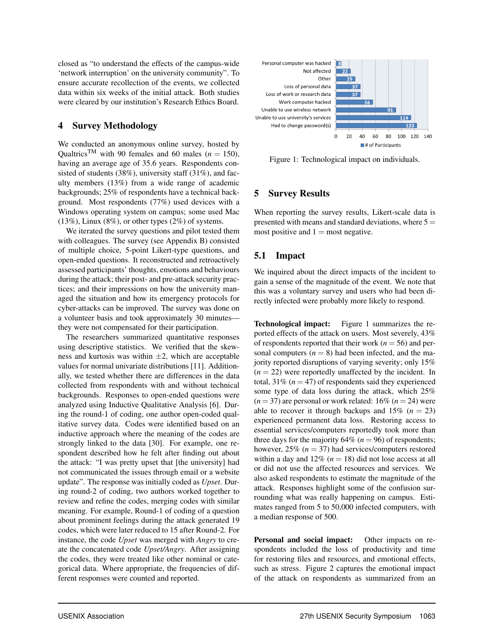closed as "to understand the effects of the campus-wide 'network interruption' on the university community". To ensure accurate recollection of the events, we collected data within six weeks of the initial attack. Both studies were cleared by our institution's Research Ethics Board.

### 4 Survey Methodology

We conducted an anonymous online survey, hosted by Qualtrics<sup>TM</sup> with 90 females and 60 males ( $n = 150$ ), having an average age of 35.6 years. Respondents consisted of students (38%), university staff (31%), and faculty members (13%) from a wide range of academic backgrounds; 25% of respondents have a technical background. Most respondents (77%) used devices with a Windows operating system on campus; some used Mac  $(13\%)$ , Linux  $(8\%)$ , or other types  $(2\%)$  of systems.

We iterated the survey questions and pilot tested them with colleagues. The survey (see Appendix B) consisted of multiple choice, 5-point Likert-type questions, and open-ended questions. It reconstructed and retroactively assessed participants' thoughts, emotions and behaviours during the attack; their post- and pre-attack security practices; and their impressions on how the university managed the situation and how its emergency protocols for cyber-attacks can be improved. The survey was done on a volunteer basis and took approximately 30 minutes they were not compensated for their participation.

The researchers summarized quantitative responses using descriptive statistics. We verified that the skewness and kurtosis was within  $\pm 2$ , which are acceptable values for normal univariate distributions [11]. Additionally, we tested whether there are differences in the data collected from respondents with and without technical backgrounds. Responses to open-ended questions were analyzed using Inductive Qualitative Analysis [6]. During the round-1 of coding, one author open-coded qualitative survey data. Codes were identified based on an inductive approach where the meaning of the codes are strongly linked to the data [30]. For example, one respondent described how he felt after finding out about the attack: "I was pretty upset that [the university] had not communicated the issues through email or a website update". The response was initially coded as *Upset*. During round-2 of coding, two authors worked together to review and refine the codes, merging codes with similar meaning. For example, Round-1 of coding of a question about prominent feelings during the attack generated 19 codes, which were later reduced to 15 after Round-2. For instance, the code *Upset* was merged with *Angry* to create the concatenated code *Upset/Angry*. After assigning the codes, they were treated like other nominal or categorical data. Where appropriate, the frequencies of different responses were counted and reported.



Figure 1: Technological impact on individuals.

## 5 Survey Results

When reporting the survey results, Likert-scale data is presented with means and standard deviations, where  $5 =$ most positive and  $1 =$  most negative.

## 5.1 Impact

We inquired about the direct impacts of the incident to gain a sense of the magnitude of the event. We note that this was a voluntary survey and users who had been directly infected were probably more likely to respond.

Technological impact: Figure 1 summarizes the reported effects of the attack on users. Most severely, 43% of respondents reported that their work ( $n = 56$ ) and personal computers  $(n = 8)$  had been infected, and the majority reported disruptions of varying severity; only 15%  $(n = 22)$  were reportedly unaffected by the incident. In total,  $31\%$  ( $n = 47$ ) of respondents said they experienced some type of data loss during the attack, which 25%  $(n = 37)$  are personal or work related: 16%  $(n = 24)$  were able to recover it through backups and  $15\%$  ( $n = 23$ ) experienced permanent data loss. Restoring access to essential services/computers reportedly took more than three days for the majority  $64\%$  ( $n = 96$ ) of respondents; however, 25% (*n* = 37) had services/computers restored within a day and  $12\%$  ( $n = 18$ ) did not lose access at all or did not use the affected resources and services. We also asked respondents to estimate the magnitude of the attack. Responses highlight some of the confusion surrounding what was really happening on campus. Estimates ranged from 5 to 50,000 infected computers, with a median response of 500.

Personal and social impact: Other impacts on respondents included the loss of productivity and time for restoring files and resources, and emotional effects, such as stress. Figure 2 captures the emotional impact of the attack on respondents as summarized from an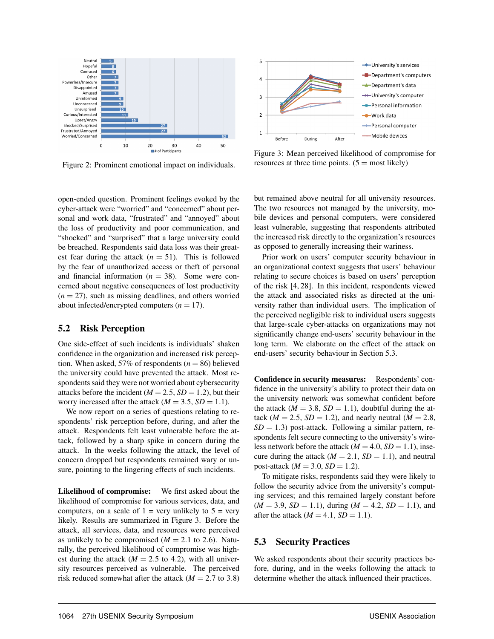

Figure 2: Prominent emotional impact on individuals.

open-ended question. Prominent feelings evoked by the cyber-attack were "worried" and "concerned" about personal and work data, "frustrated" and "annoyed" about the loss of productivity and poor communication, and "shocked" and "surprised" that a large university could be breached. Respondents said data loss was their greatest fear during the attack  $(n = 51)$ . This is followed by the fear of unauthorized access or theft of personal and financial information  $(n = 38)$ . Some were concerned about negative consequences of lost productivity  $(n = 27)$ , such as missing deadlines, and others worried about infected/encrypted computers  $(n = 17)$ .

#### 5.2 Risk Perception

One side-effect of such incidents is individuals' shaken confidence in the organization and increased risk perception. When asked, 57% of respondents  $(n = 86)$  believed the university could have prevented the attack. Most respondents said they were not worried about cybersecurity attacks before the incident  $(M = 2.5, SD = 1.2)$ , but their worry increased after the attack ( $M = 3.5$ ,  $SD = 1.1$ ).

We now report on a series of questions relating to respondents' risk perception before, during, and after the attack. Respondents felt least vulnerable before the attack, followed by a sharp spike in concern during the attack. In the weeks following the attack, the level of concern dropped but respondents remained wary or unsure, pointing to the lingering effects of such incidents.

Likelihood of compromise: We first asked about the likelihood of compromise for various services, data, and computers, on a scale of  $1 = \text{very unlikely to } 5 = \text{very}$ likely. Results are summarized in Figure 3. Before the attack, all services, data, and resources were perceived as unlikely to be compromised  $(M = 2.1$  to 2.6). Naturally, the perceived likelihood of compromise was highest during the attack ( $M = 2.5$  to 4.2), with all university resources perceived as vulnerable. The perceived risk reduced somewhat after the attack  $(M = 2.7$  to 3.8)



Figure 3: Mean perceived likelihood of compromise for resources at three time points.  $(5 = \text{most likely})$ 

but remained above neutral for all university resources. The two resources not managed by the university, mobile devices and personal computers, were considered least vulnerable, suggesting that respondents attributed the increased risk directly to the organization's resources as opposed to generally increasing their wariness.

Prior work on users' computer security behaviour in an organizational context suggests that users' behaviour relating to secure choices is based on users' perception of the risk [4, 28]. In this incident, respondents viewed the attack and associated risks as directed at the university rather than individual users. The implication of the perceived negligible risk to individual users suggests that large-scale cyber-attacks on organizations may not significantly change end-users' security behaviour in the long term. We elaborate on the effect of the attack on end-users' security behaviour in Section 5.3.

Confidence in security measures: Respondents' confidence in the university's ability to protect their data on the university network was somewhat confident before the attack  $(M = 3.8, SD = 1.1)$ , doubtful during the attack ( $M = 2.5$ ,  $SD = 1.2$ ), and nearly neutral ( $M = 2.8$ ,  $SD = 1.3$ ) post-attack. Following a similar pattern, respondents felt secure connecting to the university's wireless network before the attack  $(M = 4.0, SD = 1.1)$ , insecure during the attack  $(M = 2.1, SD = 1.1)$ , and neutral post-attack ( $M = 3.0$ ,  $SD = 1.2$ ).

To mitigate risks, respondents said they were likely to follow the security advice from the university's computing services; and this remained largely constant before  $(M = 3.9, SD = 1.1)$ , during  $(M = 4.2, SD = 1.1)$ , and after the attack  $(M = 4.1, SD = 1.1)$ .

#### 5.3 Security Practices

We asked respondents about their security practices before, during, and in the weeks following the attack to determine whether the attack influenced their practices.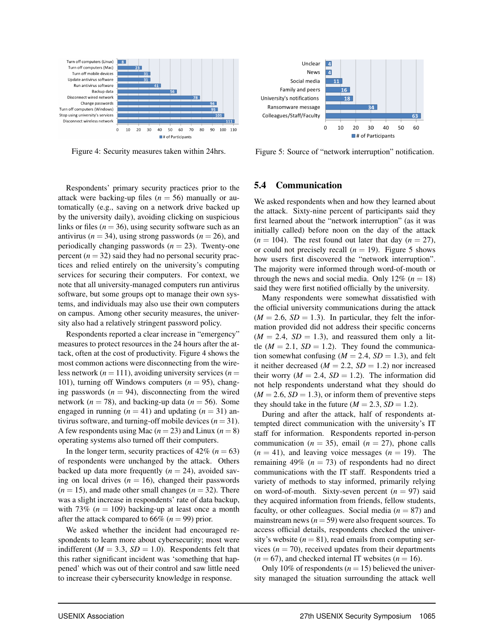

Figure 4: Security measures taken within 24hrs.

Respondents' primary security practices prior to the attack were backing-up files  $(n = 56)$  manually or automatically (e.g., saving on a network drive backed up by the university daily), avoiding clicking on suspicious links or files  $(n = 36)$ , using security software such as an antivirus ( $n = 34$ ), using strong passwords ( $n = 26$ ), and periodically changing passwords  $(n = 23)$ . Twenty-one percent  $(n = 32)$  said they had no personal security practices and relied entirely on the university's computing services for securing their computers. For context, we note that all university-managed computers run antivirus software, but some groups opt to manage their own systems, and individuals may also use their own computers on campus. Among other security measures, the university also had a relatively stringent password policy.

Respondents reported a clear increase in "emergency" measures to protect resources in the 24 hours after the attack, often at the cost of productivity. Figure 4 shows the most common actions were disconnecting from the wireless network ( $n = 111$ ), avoiding university services ( $n =$ 101), turning off Windows computers  $(n = 95)$ , changing passwords  $(n = 94)$ , disconnecting from the wired network ( $n = 78$ ), and backing-up data ( $n = 56$ ). Some engaged in running  $(n = 41)$  and updating  $(n = 31)$  antivirus software, and turning-off mobile devices  $(n = 31)$ . A few respondents using Mac  $(n = 23)$  and Linux  $(n = 8)$ operating systems also turned off their computers.

In the longer term, security practices of  $42\%$  ( $n = 63$ ) of respondents were unchanged by the attack. Others backed up data more frequently  $(n = 24)$ , avoided saving on local drives  $(n = 16)$ , changed their passwords  $(n = 15)$ , and made other small changes  $(n = 32)$ . There was a slight increase in respondents' rate of data backup, with 73%  $(n = 109)$  backing-up at least once a month after the attack compared to  $66\%$  ( $n = 99$ ) prior.

We asked whether the incident had encouraged respondents to learn more about cybersecurity; most were indifferent ( $M = 3.3$ ,  $SD = 1.0$ ). Respondents felt that this rather significant incident was 'something that happened' which was out of their control and saw little need to increase their cybersecurity knowledge in response.



Figure 5: Source of "network interruption" notification.

## 5.4 Communication

We asked respondents when and how they learned about the attack. Sixty-nine percent of participants said they first learned about the "network interruption" (as it was initially called) before noon on the day of the attack  $(n = 104)$ . The rest found out later that day  $(n = 27)$ , or could not precisely recall  $(n = 19)$ . Figure 5 shows how users first discovered the "network interruption". The majority were informed through word-of-mouth or through the news and social media. Only  $12\%$  ( $n = 18$ ) said they were first notified officially by the university.

Many respondents were somewhat dissatisfied with the official university communications during the attack  $(M = 2.6, SD = 1.3)$ . In particular, they felt the information provided did not address their specific concerns  $(M = 2.4, SD = 1.3)$ , and reassured them only a little  $(M = 2.1, SD = 1.2)$ . They found the communication somewhat confusing  $(M = 2.4, SD = 1.3)$ , and felt it neither decreased  $(M = 2.2, SD = 1.2)$  nor increased their worry ( $M = 2.4$ ,  $SD = 1.2$ ). The information did not help respondents understand what they should do  $(M = 2.6, SD = 1.3)$ , or inform them of preventive steps they should take in the future ( $M = 2.3$ ,  $SD = 1.2$ ).

During and after the attack, half of respondents attempted direct communication with the university's IT staff for information. Respondents reported in-person communication ( $n = 35$ ), email ( $n = 27$ ), phone calls  $(n = 41)$ , and leaving voice messages  $(n = 19)$ . The remaining 49%  $(n = 73)$  of respondents had no direct communications with the IT staff. Respondents tried a variety of methods to stay informed, primarily relying on word-of-mouth. Sixty-seven percent  $(n = 97)$  said they acquired information from friends, fellow students, faculty, or other colleagues. Social media  $(n = 87)$  and mainstream news  $(n = 59)$  were also frequent sources. To access official details, respondents checked the university's website  $(n = 81)$ , read emails from computing services  $(n = 70)$ , received updates from their departments  $(n = 67)$ , and checked internal IT websites  $(n = 16)$ .

Only 10% of respondents  $(n = 15)$  believed the university managed the situation surrounding the attack well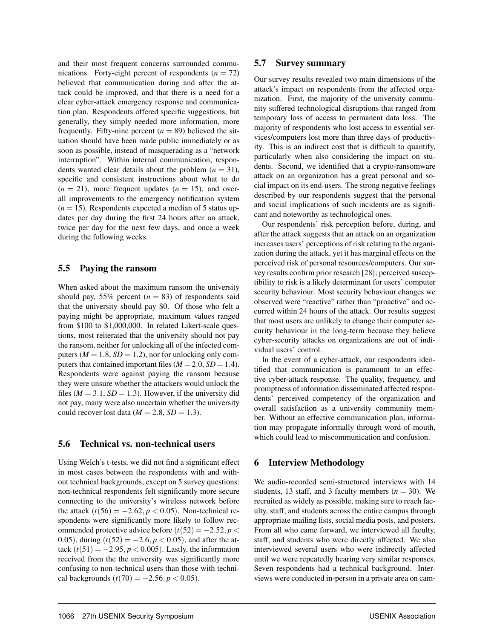and their most frequent concerns surrounded communications. Forty-eight percent of respondents  $(n = 72)$ believed that communication during and after the attack could be improved, and that there is a need for a clear cyber-attack emergency response and communication plan. Respondents offered specific suggestions, but generally, they simply needed more information, more frequently. Fifty-nine percent  $(n = 89)$  believed the situation should have been made public immediately or as soon as possible, instead of masquerading as a "network interruption". Within internal communication, respondents wanted clear details about the problem  $(n = 31)$ , specific and consistent instructions about what to do  $(n = 21)$ , more frequent updates  $(n = 15)$ , and overall improvements to the emergency notification system  $(n = 15)$ . Respondents expected a median of 5 status updates per day during the first 24 hours after an attack, twice per day for the next few days, and once a week during the following weeks.

## 5.5 Paying the ransom

When asked about the maximum ransom the university should pay, 55% percent  $(n = 83)$  of respondents said that the university should pay \$0. Of those who felt a paying might be appropriate, maximum values ranged from \$100 to \$1,000,000. In related Likert-scale questions, most reiterated that the university should not pay the ransom, neither for unlocking all of the infected computers  $(M = 1.8, SD = 1.2)$ , nor for unlocking only computers that contained important files ( $M = 2.0$ ,  $SD = 1.4$ ). Respondents were against paying the ransom because they were unsure whether the attackers would unlock the files ( $M = 3.1$ ,  $SD = 1.3$ ). However, if the university did not pay, many were also uncertain whether the university could recover lost data ( $M = 2.8$ ,  $SD = 1.3$ ).

## 5.6 Technical vs. non-technical users

Using Welch's t-tests, we did not find a significant effect in most cases between the respondents with and without technical backgrounds, except on 5 survey questions: non-technical respondents felt significantly more secure connecting to the university's wireless network before the attack  $(t(56) = -2.62, p < 0.05)$ . Non-technical respondents were significantly more likely to follow recommended protective advice before  $(t(52) = -2.52, p <$ 0.05), during  $(t(52) = -2.6, p < 0.05)$ , and after the attack  $(t(51) = -2.95, p < 0.005)$ . Lastly, the information received from the the university was significantly more confusing to non-technical users than those with technical backgrounds  $(t(70) = -2.56, p < 0.05)$ .

## 5.7 Survey summary

Our survey results revealed two main dimensions of the attack's impact on respondents from the affected organization. First, the majority of the university community suffered technological disruptions that ranged from temporary loss of access to permanent data loss. The majority of respondents who lost access to essential services/computers lost more than three days of productivity. This is an indirect cost that is difficult to quantify, particularly when also considering the impact on students. Second, we identified that a crypto-ransomware attack on an organization has a great personal and social impact on its end-users. The strong negative feelings described by our respondents suggest that the personal and social implications of such incidents are as significant and noteworthy as technological ones.

Our respondents' risk perception before, during, and after the attack suggests that an attack on an organization increases users' perceptions of risk relating to the organization during the attack, yet it has marginal effects on the perceived risk of personal resources/computers. Our survey results confirm prior research [28]; perceived susceptibility to risk is a likely determinant for users' computer security behaviour. Most security behaviour changes we observed were "reactive" rather than "proactive" and occurred within 24 hours of the attack. Our results suggest that most users are unlikely to change their computer security behaviour in the long-term because they believe cyber-security attacks on organizations are out of individual users' control.

In the event of a cyber-attack, our respondents identified that communication is paramount to an effective cyber-attack response. The quality, frequency, and promptness of information disseminated affected respondents' perceived competency of the organization and overall satisfaction as a university community member. Without an effective communication plan, information may propagate informally through word-of-mouth, which could lead to miscommunication and confusion.

## 6 Interview Methodology

We audio-recorded semi-structured interviews with 14 students, 13 staff, and 3 faculty members  $(n = 30)$ . We recruited as widely as possible, making sure to reach faculty, staff, and students across the entire campus through appropriate mailing lists, social media posts, and posters. From all who came forward, we interviewed all faculty, staff, and students who were directly affected. We also interviewed several users who were indirectly affected until we were repeatedly hearing very similar responses. Seven respondents had a technical background. Interviews were conducted in-person in a private area on cam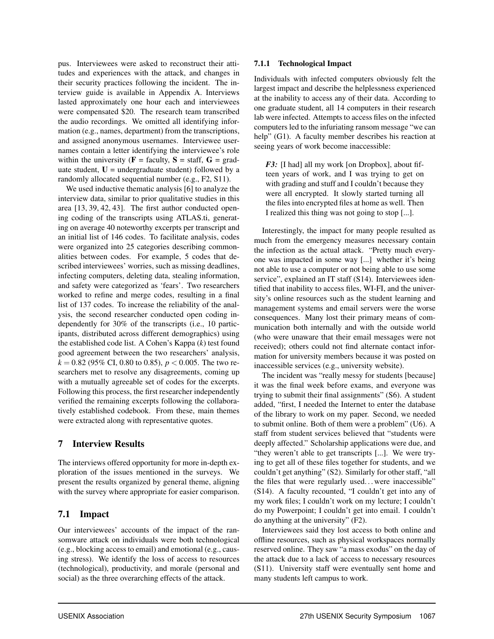pus. Interviewees were asked to reconstruct their attitudes and experiences with the attack, and changes in their security practices following the incident. The interview guide is available in Appendix A. Interviews lasted approximately one hour each and interviewees were compensated \$20. The research team transcribed the audio recordings. We omitted all identifying information (e.g., names, department) from the transcriptions, and assigned anonymous usernames. Interviewee usernames contain a letter identifying the interviewee's role within the university ( $\mathbf{F} = \text{faculty}$ ,  $\mathbf{S} = \text{staff}$ ,  $\mathbf{G} = \text{grad}$ uate student,  $U =$  undergraduate student) followed by a randomly allocated sequential number (e.g., F2, S11).

We used inductive thematic analysis [6] to analyze the interview data, similar to prior qualitative studies in this area [13, 39, 42, 43]. The first author conducted opening coding of the transcripts using ATLAS.ti, generating on average 40 noteworthy excerpts per transcript and an initial list of 146 codes. To facilitate analysis, codes were organized into 25 categories describing commonalities between codes. For example, 5 codes that described interviewees' worries, such as missing deadlines, infecting computers, deleting data, stealing information, and safety were categorized as 'fears'. Two researchers worked to refine and merge codes, resulting in a final list of 137 codes. To increase the reliability of the analysis, the second researcher conducted open coding independently for 30% of the transcripts (i.e., 10 participants, distributed across different demographics) using the established code list. A Cohen's Kappa (*k*) test found good agreement between the two researchers' analysis,  $k = 0.82$  (95% CI, 0.80 to 0.85),  $p < 0.005$ . The two researchers met to resolve any disagreements, coming up with a mutually agreeable set of codes for the excerpts. Following this process, the first researcher independently verified the remaining excerpts following the collaboratively established codebook. From these, main themes were extracted along with representative quotes.

## 7 Interview Results

The interviews offered opportunity for more in-depth exploration of the issues mentioned in the surveys. We present the results organized by general theme, aligning with the survey where appropriate for easier comparison.

## 7.1 Impact

Our interviewees' accounts of the impact of the ransomware attack on individuals were both technological (e.g., blocking access to email) and emotional (e.g., causing stress). We identify the loss of access to resources (technological), productivity, and morale (personal and social) as the three overarching effects of the attack.

#### 7.1.1 Technological Impact

Individuals with infected computers obviously felt the largest impact and describe the helplessness experienced at the inability to access any of their data. According to one graduate student, all 14 computers in their research lab were infected. Attempts to access files on the infected computers led to the infuriating ransom message "we can help" (G1). A faculty member describes his reaction at seeing years of work become inaccessible:

*F3:* [I had] all my work [on Dropbox], about fifteen years of work, and I was trying to get on with grading and stuff and I couldn't because they were all encrypted. It slowly started turning all the files into encrypted files at home as well. Then I realized this thing was not going to stop [...].

Interestingly, the impact for many people resulted as much from the emergency measures necessary contain the infection as the actual attack. "Pretty much everyone was impacted in some way [...] whether it's being not able to use a computer or not being able to use some service", explained an IT staff (S14). Interviewees identified that inability to access files, WI-FI, and the university's online resources such as the student learning and management systems and email servers were the worse consequences. Many lost their primary means of communication both internally and with the outside world (who were unaware that their email messages were not received); others could not find alternate contact information for university members because it was posted on inaccessible services (e.g., university website).

The incident was "really messy for students [because] it was the final week before exams, and everyone was trying to submit their final assignments" (S6). A student added, "first, I needed the Internet to enter the database of the library to work on my paper. Second, we needed to submit online. Both of them were a problem" (U6). A staff from student services believed that "students were deeply affected." Scholarship applications were due, and "they weren't able to get transcripts [...]. We were trying to get all of these files together for students, and we couldn't get anything" (S2). Similarly for other staff, "all the files that were regularly used. . . were inaccessible" (S14). A faculty recounted, "I couldn't get into any of my work files; I couldn't work on my lecture; I couldn't do my Powerpoint; I couldn't get into email. I couldn't do anything at the university" (F2).

Interviewees said they lost access to both online and offline resources, such as physical workspaces normally reserved online. They saw "a mass exodus" on the day of the attack due to a lack of access to necessary resources (S11). University staff were eventually sent home and many students left campus to work.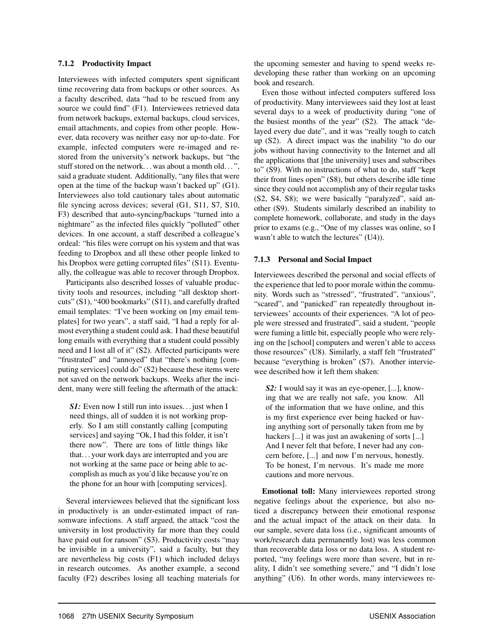#### 7.1.2 Productivity Impact

Interviewees with infected computers spent significant time recovering data from backups or other sources. As a faculty described, data "had to be rescued from any source we could find" (F1). Interviewees retrieved data from network backups, external backups, cloud services, email attachments, and copies from other people. However, data recovery was neither easy nor up-to-date. For example, infected computers were re-imaged and restored from the university's network backups, but "the stuff stored on the network. . . was about a month old. . . ", said a graduate student. Additionally, "any files that were open at the time of the backup wasn't backed up" (G1). Interviewees also told cautionary tales about automatic file syncing across devices; several (G1, S11, S7, S10, F3) described that auto-syncing/backups "turned into a nightmare" as the infected files quickly "polluted" other devices. In one account, a staff described a colleague's ordeal: "his files were corrupt on his system and that was feeding to Dropbox and all these other people linked to his Dropbox were getting corrupted files" (S11). Eventually, the colleague was able to recover through Dropbox.

Participants also described losses of valuable productivity tools and resources, including "all desktop shortcuts" (S1), "400 bookmarks" (S11), and carefully drafted email templates: "I've been working on [my email templates] for two years", a staff said, "I had a reply for almost everything a student could ask. I had these beautiful long emails with everything that a student could possibly need and I lost all of it" (S2). Affected participants were "frustrated" and "annoyed" that "there's nothing [computing services] could do" (S2) because these items were not saved on the network backups. Weeks after the incident, many were still feeling the aftermath of the attack:

*S1*: Even now I still run into issues... just when I need things, all of sudden it is not working properly. So I am still constantly calling [computing services] and saying "Ok, I had this folder, it isn't there now". There are tons of little things like that. . . your work days are interrupted and you are not working at the same pace or being able to accomplish as much as you'd like because you're on the phone for an hour with [computing services].

Several interviewees believed that the significant loss in productively is an under-estimated impact of ransomware infections. A staff argued, the attack "cost the university in lost productivity far more than they could have paid out for ransom" (S3). Productivity costs "may be invisible in a university", said a faculty, but they are nevertheless big costs (F1) which included delays in research outcomes. As another example, a second faculty (F2) describes losing all teaching materials for the upcoming semester and having to spend weeks redeveloping these rather than working on an upcoming book and research.

Even those without infected computers suffered loss of productivity. Many interviewees said they lost at least several days to a week of productivity during "one of the busiest months of the year" (S2). The attack "delayed every due date", and it was "really tough to catch up (S2). A direct impact was the inability "to do our jobs without having connectivity to the Internet and all the applications that [the university] uses and subscribes to" (S9). With no instructions of what to do, staff "kept their front lines open" (S8), but others describe idle time since they could not accomplish any of their regular tasks (S2, S4, S8); we were basically "paralyzed", said another (S9). Students similarly described an inability to complete homework, collaborate, and study in the days prior to exams (e.g., "One of my classes was online, so I wasn't able to watch the lectures" (U4)).

#### 7.1.3 Personal and Social Impact

Interviewees described the personal and social effects of the experience that led to poor morale within the community. Words such as "stressed", "frustrated", "anxious", "scared", and "panicked" ran repeatedly throughout interviewees' accounts of their experiences. "A lot of people were stressed and frustrated", said a student, "people were fuming a little bit, especially people who were relying on the [school] computers and weren't able to access those resources" (U8). Similarly, a staff felt "frustrated" because "everything is broken" (S7). Another interviewee described how it left them shaken:

*S2:* I would say it was an eye-opener, [...], knowing that we are really not safe, you know. All of the information that we have online, and this is my first experience ever being hacked or having anything sort of personally taken from me by hackers [...] it was just an awakening of sorts [...] And I never felt that before, I never had any concern before, [...] and now I'm nervous, honestly. To be honest, I'm nervous. It's made me more cautions and more nervous.

Emotional toll: Many interviewees reported strong negative feelings about the experience, but also noticed a discrepancy between their emotional response and the actual impact of the attack on their data. In our sample, severe data loss (i.e., significant amounts of work/research data permanently lost) was less common than recoverable data loss or no data loss. A student reported, "my feelings were more than severe, but in reality, I didn't see something severe," and "I didn't lose anything" (U6). In other words, many interviewees re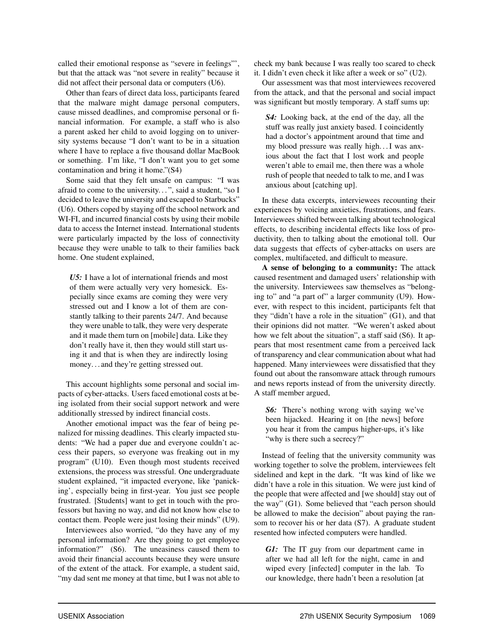called their emotional response as "severe in feelings"', but that the attack was "not severe in reality" because it did not affect their personal data or computers (U6).

Other than fears of direct data loss, participants feared that the malware might damage personal computers, cause missed deadlines, and compromise personal or financial information. For example, a staff who is also a parent asked her child to avoid logging on to university systems because "I don't want to be in a situation where I have to replace a five thousand dollar MacBook or something. I'm like, "I don't want you to get some contamination and bring it home."(S4)

Some said that they felt unsafe on campus: "I was afraid to come to the university...", said a student, "so I decided to leave the university and escaped to Starbucks" (U6). Others coped by staying off the school network and WI-FI, and incurred financial costs by using their mobile data to access the Internet instead. International students were particularly impacted by the loss of connectivity because they were unable to talk to their families back home. One student explained,

*U5:* I have a lot of international friends and most of them were actually very very homesick. Especially since exams are coming they were very stressed out and I know a lot of them are constantly talking to their parents 24/7. And because they were unable to talk, they were very desperate and it made them turn on [mobile] data. Like they don't really have it, then they would still start using it and that is when they are indirectly losing money. . . and they're getting stressed out.

This account highlights some personal and social impacts of cyber-attacks. Users faced emotional costs at being isolated from their social support network and were additionally stressed by indirect financial costs.

Another emotional impact was the fear of being penalized for missing deadlines. This clearly impacted students: "We had a paper due and everyone couldn't access their papers, so everyone was freaking out in my program" (U10). Even though most students received extensions, the process was stressful. One undergraduate student explained, "it impacted everyone, like 'panicking', especially being in first-year. You just see people frustrated. [Students] want to get in touch with the professors but having no way, and did not know how else to contact them. People were just losing their minds" (U9).

Interviewees also worried, "do they have any of my personal information? Are they going to get employee information?" (S6). The uneasiness caused them to avoid their financial accounts because they were unsure of the extent of the attack. For example, a student said, "my dad sent me money at that time, but I was not able to

check my bank because I was really too scared to check it. I didn't even check it like after a week or so" (U2).

Our assessment was that most interviewees recovered from the attack, and that the personal and social impact was significant but mostly temporary. A staff sums up:

*S4:* Looking back, at the end of the day, all the stuff was really just anxiety based. I coincidently had a doctor's appointment around that time and my blood pressure was really high. . . I was anxious about the fact that I lost work and people weren't able to email me, then there was a whole rush of people that needed to talk to me, and I was anxious about [catching up].

In these data excerpts, interviewees recounting their experiences by voicing anxieties, frustrations, and fears. Interviewees shifted between talking about technological effects, to describing incidental effects like loss of productivity, then to talking about the emotional toll. Our data suggests that effects of cyber-attacks on users are complex, multifaceted, and difficult to measure.

A sense of belonging to a community: The attack caused resentment and damaged users' relationship with the university. Interviewees saw themselves as "belonging to" and "a part of" a larger community (U9). However, with respect to this incident, participants felt that they "didn't have a role in the situation" (G1), and that their opinions did not matter. "We weren't asked about how we felt about the situation", a staff said (S6). It appears that most resentment came from a perceived lack of transparency and clear communication about what had happened. Many interviewees were dissatisfied that they found out about the ransomware attack through rumours and news reports instead of from the university directly. A staff member argued,

*S6:* There's nothing wrong with saying we've been hijacked. Hearing it on [the news] before you hear it from the campus higher-ups, it's like "why is there such a secrecy?"

Instead of feeling that the university community was working together to solve the problem, interviewees felt sidelined and kept in the dark. "It was kind of like we didn't have a role in this situation. We were just kind of the people that were affected and [we should] stay out of the way" (G1). Some believed that "each person should be allowed to make the decision" about paying the ransom to recover his or her data (S7). A graduate student resented how infected computers were handled.

*G1:* The IT guy from our department came in after we had all left for the night, came in and wiped every [infected] computer in the lab. To our knowledge, there hadn't been a resolution [at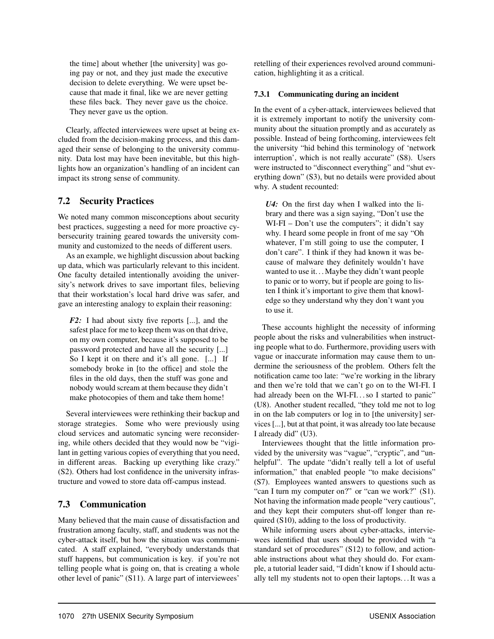the time] about whether [the university] was going pay or not, and they just made the executive decision to delete everything. We were upset because that made it final, like we are never getting these files back. They never gave us the choice. They never gave us the option.

Clearly, affected interviewees were upset at being excluded from the decision-making process, and this damaged their sense of belonging to the university community. Data lost may have been inevitable, but this highlights how an organization's handling of an incident can impact its strong sense of community.

## 7.2 Security Practices

We noted many common misconceptions about security best practices, suggesting a need for more proactive cybersecurity training geared towards the university community and customized to the needs of different users.

As an example, we highlight discussion about backing up data, which was particularly relevant to this incident. One faculty detailed intentionally avoiding the university's network drives to save important files, believing that their workstation's local hard drive was safer, and gave an interesting analogy to explain their reasoning:

*F2:* I had about sixty five reports [...], and the safest place for me to keep them was on that drive, on my own computer, because it's supposed to be password protected and have all the security [...] So I kept it on there and it's all gone. [...] If somebody broke in [to the office] and stole the files in the old days, then the stuff was gone and nobody would scream at them because they didn't make photocopies of them and take them home!

Several interviewees were rethinking their backup and storage strategies. Some who were previously using cloud services and automatic syncing were reconsidering, while others decided that they would now be "vigilant in getting various copies of everything that you need, in different areas. Backing up everything like crazy." (S2). Others had lost confidence in the university infrastructure and vowed to store data off-campus instead.

## 7.3 Communication

Many believed that the main cause of dissatisfaction and frustration among faculty, staff, and students was not the cyber-attack itself, but how the situation was communicated. A staff explained, "everybody understands that stuff happens, but communication is key. if you're not telling people what is going on, that is creating a whole other level of panic" (S11). A large part of interviewees'

retelling of their experiences revolved around communication, highlighting it as a critical.

#### 7.3.1 Communicating during an incident

In the event of a cyber-attack, interviewees believed that it is extremely important to notify the university community about the situation promptly and as accurately as possible. Instead of being forthcoming, interviewees felt the university "hid behind this terminology of 'network interruption', which is not really accurate" (S8). Users were instructed to "disconnect everything" and "shut everything down" (S3), but no details were provided about why. A student recounted:

*U4:* On the first day when I walked into the library and there was a sign saying, "Don't use the WI-FI – Don't use the computers"; it didn't say why. I heard some people in front of me say "Oh whatever, I'm still going to use the computer, I don't care". I think if they had known it was because of malware they definitely wouldn't have wanted to use it. . . Maybe they didn't want people to panic or to worry, but if people are going to listen I think it's important to give them that knowledge so they understand why they don't want you to use it.

These accounts highlight the necessity of informing people about the risks and vulnerabilities when instructing people what to do. Furthermore, providing users with vague or inaccurate information may cause them to undermine the seriousness of the problem. Others felt the notification came too late: "we're working in the library and then we're told that we can't go on to the WI-FI. I had already been on the WI-FI... so I started to panic" (U8). Another student recalled, "they told me not to log in on the lab computers or log in to [the university] services [...], but at that point, it was already too late because I already did" (U3).

Interviewees thought that the little information provided by the university was "vague", "cryptic", and "unhelpful". The update "didn't really tell a lot of useful information," that enabled people "to make decisions" (S7). Employees wanted answers to questions such as "can I turn my computer on?" or "can we work?" (S1). Not having the information made people "very cautious", and they kept their computers shut-off longer than required (S10), adding to the loss of productivity.

While informing users about cyber-attacks, interviewees identified that users should be provided with "a standard set of procedures" (S12) to follow, and actionable instructions about what they should do. For example, a tutorial leader said, "I didn't know if I should actually tell my students not to open their laptops. . . It was a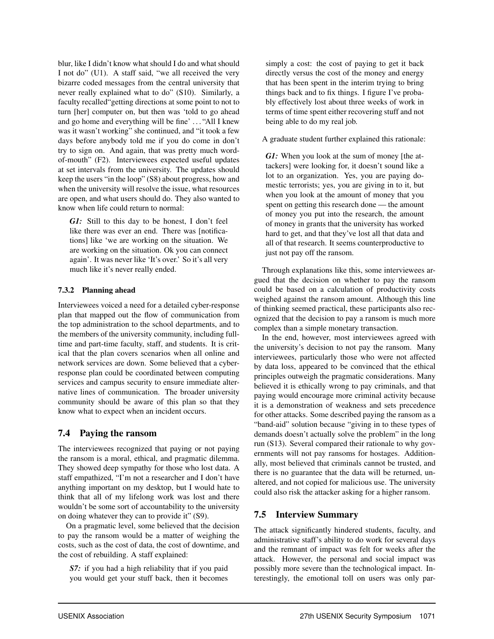blur, like I didn't know what should I do and what should I not do" (U1). A staff said, "we all received the very bizarre coded messages from the central university that never really explained what to do" (S10). Similarly, a faculty recalled"getting directions at some point to not to turn [her] computer on, but then was 'told to go ahead and go home and everything will be fine' . . . "All I knew was it wasn't working" she continued, and "it took a few days before anybody told me if you do come in don't try to sign on. And again, that was pretty much wordof-mouth" (F2). Interviewees expected useful updates at set intervals from the university. The updates should keep the users "in the loop" (S8) about progress, how and when the university will resolve the issue, what resources are open, and what users should do. They also wanted to know when life could return to normal:

*G1*: Still to this day to be honest, I don't feel like there was ever an end. There was [notifications] like 'we are working on the situation. We are working on the situation. Ok you can connect again'. It was never like 'It's over.' So it's all very much like it's never really ended.

#### 7.3.2 Planning ahead

Interviewees voiced a need for a detailed cyber-response plan that mapped out the flow of communication from the top administration to the school departments, and to the members of the university community, including fulltime and part-time faculty, staff, and students. It is critical that the plan covers scenarios when all online and network services are down. Some believed that a cyberresponse plan could be coordinated between computing services and campus security to ensure immediate alternative lines of communication. The broader university community should be aware of this plan so that they know what to expect when an incident occurs.

## 7.4 Paying the ransom

The interviewees recognized that paying or not paying the ransom is a moral, ethical, and pragmatic dilemma. They showed deep sympathy for those who lost data. A staff empathized, "I'm not a researcher and I don't have anything important on my desktop, but I would hate to think that all of my lifelong work was lost and there wouldn't be some sort of accountability to the university on doing whatever they can to provide it" (S9).

On a pragmatic level, some believed that the decision to pay the ransom would be a matter of weighing the costs, such as the cost of data, the cost of downtime, and the cost of rebuilding. A staff explained:

*S7:* if you had a high reliability that if you paid you would get your stuff back, then it becomes simply a cost: the cost of paying to get it back directly versus the cost of the money and energy that has been spent in the interim trying to bring things back and to fix things. I figure I've probably effectively lost about three weeks of work in terms of time spent either recovering stuff and not being able to do my real job.

A graduate student further explained this rationale:

*G1*: When you look at the sum of money [the attackers] were looking for, it doesn't sound like a lot to an organization. Yes, you are paying domestic terrorists; yes, you are giving in to it, but when you look at the amount of money that you spent on getting this research done — the amount of money you put into the research, the amount of money in grants that the university has worked hard to get, and that they've lost all that data and all of that research. It seems counterproductive to just not pay off the ransom.

Through explanations like this, some interviewees argued that the decision on whether to pay the ransom could be based on a calculation of productivity costs weighed against the ransom amount. Although this line of thinking seemed practical, these participants also recognized that the decision to pay a ransom is much more complex than a simple monetary transaction.

In the end, however, most interviewees agreed with the university's decision to not pay the ransom. Many interviewees, particularly those who were not affected by data loss, appeared to be convinced that the ethical principles outweigh the pragmatic considerations. Many believed it is ethically wrong to pay criminals, and that paying would encourage more criminal activity because it is a demonstration of weakness and sets precedence for other attacks. Some described paying the ransom as a "band-aid" solution because "giving in to these types of demands doesn't actually solve the problem" in the long run (S13). Several compared their rationale to why governments will not pay ransoms for hostages. Additionally, most believed that criminals cannot be trusted, and there is no guarantee that the data will be returned, unaltered, and not copied for malicious use. The university could also risk the attacker asking for a higher ransom.

## 7.5 Interview Summary

The attack significantly hindered students, faculty, and administrative staff's ability to do work for several days and the remnant of impact was felt for weeks after the attack. However, the personal and social impact was possibly more severe than the technological impact. Interestingly, the emotional toll on users was only par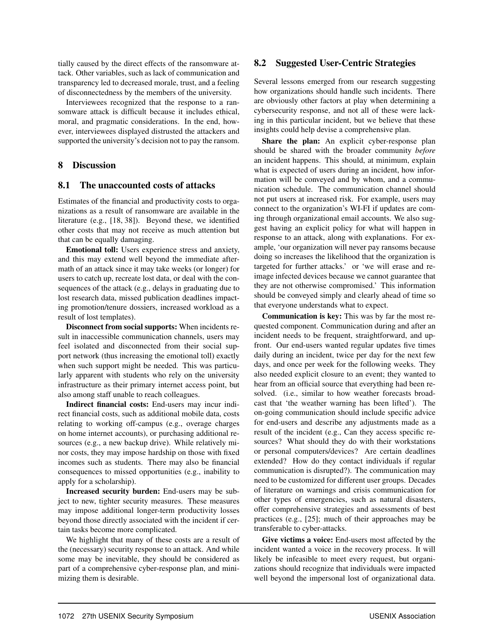tially caused by the direct effects of the ransomware attack. Other variables, such as lack of communication and transparency led to decreased morale, trust, and a feeling of disconnectedness by the members of the university.

Interviewees recognized that the response to a ransomware attack is difficult because it includes ethical, moral, and pragmatic considerations. In the end, however, interviewees displayed distrusted the attackers and supported the university's decision not to pay the ransom.

## 8 Discussion

#### 8.1 The unaccounted costs of attacks

Estimates of the financial and productivity costs to organizations as a result of ransomware are available in the literature (e.g., [18, 38]). Beyond these, we identified other costs that may not receive as much attention but that can be equally damaging.

Emotional toll: Users experience stress and anxiety, and this may extend well beyond the immediate aftermath of an attack since it may take weeks (or longer) for users to catch up, recreate lost data, or deal with the consequences of the attack (e.g., delays in graduating due to lost research data, missed publication deadlines impacting promotion/tenure dossiers, increased workload as a result of lost templates).

Disconnect from social supports: When incidents result in inaccessible communication channels, users may feel isolated and disconnected from their social support network (thus increasing the emotional toll) exactly when such support might be needed. This was particularly apparent with students who rely on the university infrastructure as their primary internet access point, but also among staff unable to reach colleagues.

Indirect financial costs: End-users may incur indirect financial costs, such as additional mobile data, costs relating to working off-campus (e.g., overage charges on home internet accounts), or purchasing additional resources (e.g., a new backup drive). While relatively minor costs, they may impose hardship on those with fixed incomes such as students. There may also be financial consequences to missed opportunities (e.g., inability to apply for a scholarship).

Increased security burden: End-users may be subject to new, tighter security measures. These measures may impose additional longer-term productivity losses beyond those directly associated with the incident if certain tasks become more complicated.

We highlight that many of these costs are a result of the (necessary) security response to an attack. And while some may be inevitable, they should be considered as part of a comprehensive cyber-response plan, and minimizing them is desirable.

## 8.2 Suggested User-Centric Strategies

Several lessons emerged from our research suggesting how organizations should handle such incidents. There are obviously other factors at play when determining a cybersecurity response, and not all of these were lacking in this particular incident, but we believe that these insights could help devise a comprehensive plan.

Share the plan: An explicit cyber-response plan should be shared with the broader community *before* an incident happens. This should, at minimum, explain what is expected of users during an incident, how information will be conveyed and by whom, and a communication schedule. The communication channel should not put users at increased risk. For example, users may connect to the organization's WI-FI if updates are coming through organizational email accounts. We also suggest having an explicit policy for what will happen in response to an attack, along with explanations. For example, 'our organization will never pay ransoms because doing so increases the likelihood that the organization is targeted for further attacks.' or 'we will erase and reimage infected devices because we cannot guarantee that they are not otherwise compromised.' This information should be conveyed simply and clearly ahead of time so that everyone understands what to expect.

Communication is key: This was by far the most requested component. Communication during and after an incident needs to be frequent, straightforward, and upfront. Our end-users wanted regular updates five times daily during an incident, twice per day for the next few days, and once per week for the following weeks. They also needed explicit closure to an event; they wanted to hear from an official source that everything had been resolved. (i.e., similar to how weather forecasts broadcast that 'the weather warning has been lifted'). The on-going communication should include specific advice for end-users and describe any adjustments made as a result of the incident (e.g., Can they access specific resources? What should they do with their workstations or personal computers/devices? Are certain deadlines extended? How do they contact individuals if regular communication is disrupted?). The communication may need to be customized for different user groups. Decades of literature on warnings and crisis communication for other types of emergencies, such as natural disasters, offer comprehensive strategies and assessments of best practices (e.g., [25]; much of their approaches may be transferable to cyber-attacks.

Give victims a voice: End-users most affected by the incident wanted a voice in the recovery process. It will likely be infeasible to meet every request, but organizations should recognize that individuals were impacted well beyond the impersonal lost of organizational data.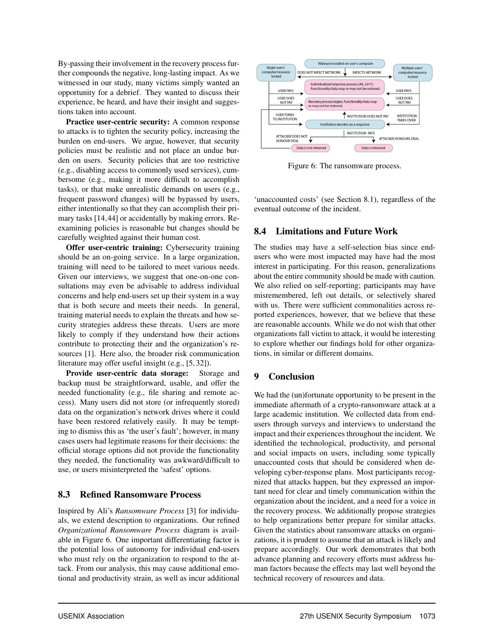By-passing their involvement in the recovery process further compounds the negative, long-lasting impact. As we witnessed in our study, many victims simply wanted an opportunity for a debrief. They wanted to discuss their experience, be heard, and have their insight and suggestions taken into account.

Practice user-centric security: A common response to attacks is to tighten the security policy, increasing the burden on end-users. We argue, however, that security policies must be realistic and not place an undue burden on users. Security policies that are too restrictive (e.g., disabling access to commonly used services), cumbersome (e.g., making it more difficult to accomplish tasks), or that make unrealistic demands on users (e.g., frequent password changes) will be bypassed by users, either intentionally so that they can accomplish their primary tasks [14,44] or accidentally by making errors. Reexamining policies is reasonable but changes should be carefully weighted against their human cost.

Offer user-centric training: Cybersecurity training should be an on-going service. In a large organization, training will need to be tailored to meet various needs. Given our interviews, we suggest that one-on-one consultations may even be advisable to address individual concerns and help end-users set up their system in a way that is both secure and meets their needs. In general, training material needs to explain the threats and how security strategies address these threats. Users are more likely to comply if they understand how their actions contribute to protecting their and the organization's resources [1]. Here also, the broader risk communication literature may offer useful insight (e.g., [5, 32]).

Provide user-centric data storage: Storage and backup must be straightforward, usable, and offer the needed functionality (e.g., file sharing and remote access). Many users did not store (or infrequently stored) data on the organization's network drives where it could have been restored relatively easily. It may be tempting to dismiss this as 'the user's fault'; however, in many cases users had legitimate reasons for their decisions: the official storage options did not provide the functionality they needed, the functionality was awkward/difficult to use, or users misinterpreted the 'safest' options.

## 8.3 Refined Ransomware Process

Inspired by Ali's *Ransomware Process* [3] for individuals, we extend description to organizations. Our refined *Organizational Ransomware Process* diagram is available in Figure 6. One important differentiating factor is the potential loss of autonomy for individual end-users who must rely on the organization to respond to the attack. From our analysis, this may cause additional emotional and productivity strain, as well as incur additional



Figure 6: The ransomware process.

'unaccounted costs' (see Section 8.1), regardless of the eventual outcome of the incident.

## 8.4 Limitations and Future Work

The studies may have a self-selection bias since endusers who were most impacted may have had the most interest in participating. For this reason, generalizations about the entire community should be made with caution. We also relied on self-reporting; participants may have misremembered, left out details, or selectively shared with us. There were sufficient commonalities across reported experiences, however, that we believe that these are reasonable accounts. While we do not wish that other organizations fall victim to attack, it would be interesting to explore whether our findings hold for other organizations, in similar or different domains.

## 9 Conclusion

We had the (un)fortunate opportunity to be present in the immediate aftermath of a crypto-ransomware attack at a large academic institution. We collected data from endusers through surveys and interviews to understand the impact and their experiences throughout the incident. We identified the technological, productivity, and personal and social impacts on users, including some typically unaccounted costs that should be considered when developing cyber-response plans. Most participants recognized that attacks happen, but they expressed an important need for clear and timely communication within the organization about the incident, and a need for a voice in the recovery process. We additionally propose strategies to help organizations better prepare for similar attacks. Given the statistics about ransomware attacks on organizations, it is prudent to assume that an attack is likely and prepare accordingly. Our work demonstrates that both advance planning and recovery efforts must address human factors because the effects may last well beyond the technical recovery of resources and data.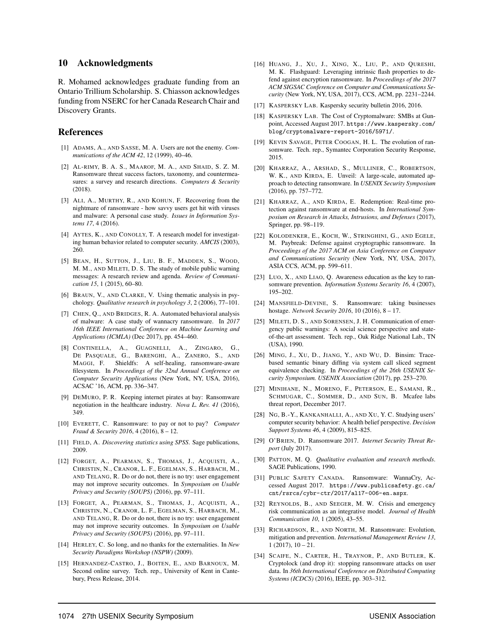#### 10 Acknowledgments

R. Mohamed acknowledges graduate funding from an Ontario Trillium Scholarship. S. Chiasson acknowledges funding from NSERC for her Canada Research Chair and Discovery Grants.

#### References

- [1] ADAMS, A., AND SASSE, M. A. Users are not the enemy. *Communications of the ACM 42*, 12 (1999), 40–46.
- [2] AL-RIMY, B. A. S., MAAROF, M. A., AND SHAID, S. Z. M. Ransomware threat success factors, taxonomy, and countermeasures: a survey and research directions. *Computers & Security* (2018).
- [3] ALI, A., MURTHY, R., AND KOHUN, F. Recovering from the nightmare of ransomware - how savvy users get hit with viruses and malware: A personal case study. *Issues in Information Systems 17*, 4 (2016).
- [4] AYTES, K., AND CONOLLY, T. A research model for investigating human behavior related to computer security. *AMCIS* (2003), 260.
- [5] BEAN, H., SUTTON, J., LIU, B. F., MADDEN, S., WOOD, M. M., AND MILETI, D. S. The study of mobile public warning messages: A research review and agenda. *Review of Communication 15*, 1 (2015), 60–80.
- [6] BRAUN, V., AND CLARKE, V. Using thematic analysis in psychology. *Qualitative research in psychology 3*, 2 (2006), 77–101.
- [7] CHEN, Q., AND BRIDGES, R. A. Automated behavioral analysis of malware: A case study of wannacry ransomware. In *2017 16th IEEE International Conference on Machine Learning and Applications (ICMLA)* (Dec 2017), pp. 454–460.
- [8] CONTINELLA, A., GUAGNELLI, A., ZINGARO, G., DE PASQUALE, G., BARENGHI, A., ZANERO, S., AND MAGGI, F. Shieldfs: A self-healing, ransomware-aware filesystem. In *Proceedings of the 32nd Annual Conference on Computer Security Applications* (New York, NY, USA, 2016), ACSAC '16, ACM, pp. 336–347.
- [9] DEMURO, P. R. Keeping internet pirates at bay: Ransomware negotiation in the healthcare industry. *Nova L. Rev. 41* (2016), 349.
- [10] EVERETT, C. Ransomware: to pay or not to pay? *Computer Fraud & Security 2016*, 4 (2016), 8 – 12.
- [11] FIELD, A. *Discovering statistics using SPSS*. Sage publications, 2009.
- [12] FORGET, A., PEARMAN, S., THOMAS, J., ACQUISTI, A., CHRISTIN, N., CRANOR, L. F., EGELMAN, S., HARBACH, M., AND TELANG, R. Do or do not, there is no try: user engagement may not improve security outcomes. In *Symposium on Usable Privacy and Security (SOUPS)* (2016), pp. 97–111.
- [13] FORGET, A., PEARMAN, S., THOMAS, J., ACQUISTI, A., CHRISTIN, N., CRANOR, L. F., EGELMAN, S., HARBACH, M., AND TELANG, R. Do or do not, there is no try: user engagement may not improve security outcomes. In *Symposium on Usable Privacy and Security (SOUPS)* (2016), pp. 97–111.
- [14] HERLEY, C. So long, and no thanks for the externalities. In *New Security Paradigms Workshop (NSPW)* (2009).
- [15] HERNANDEZ-CASTRO, J., BOITEN, E., AND BARNOUX, M. Second online survey. Tech. rep., University of Kent in Cantebury, Press Release, 2014.
- [16] HUANG, J., XU, J., XING, X., LIU, P., AND QURESHI, M. K. Flashguard: Leveraging intrinsic flash properties to defend against encryption ransomware. In *Proceedings of the 2017 ACM SIGSAC Conference on Computer and Communications Security* (New York, NY, USA, 2017), CCS, ACM, pp. 2231–2244.
- [17] KASPERSKY LAB. Kaspersky security bulletin 2016, 2016.
- [18] KASPERSKY LAB. The Cost of Cryptomalware: SMBs at Gunpoint, Accessed August 2017. https://www.kaspersky.com/ blog/cryptomalware-report-2016/5971/.
- [19] KEVIN SAVAGE, PETER COOGAN, H. L. The evolution of ransomware. Tech. rep., Symantec Corporation Security Response, 2015.
- [20] KHARRAZ, A., ARSHAD, S., MULLINER, C., ROBERTSON, W. K., AND KIRDA, E. Unveil: A large-scale, automated approach to detecting ransomware. In *USENIX Security Symposium* (2016), pp. 757–772.
- [21] KHARRAZ, A., AND KIRDA, E. Redemption: Real-time protection against ransomware at end-hosts. In *International Symposium on Research in Attacks, Intrusions, and Defenses* (2017), Springer, pp. 98–119.
- [22] KOLODENKER, E., KOCH, W., STRINGHINI, G., AND EGELE, M. Paybreak: Defense against cryptographic ransomware. In *Proceedings of the 2017 ACM on Asia Conference on Computer and Communications Security* (New York, NY, USA, 2017), ASIA CCS, ACM, pp. 599–611.
- [23] LUO, X., AND LIAO, Q. Awareness education as the key to ransomware prevention. *Information Systems Security 16*, 4 (2007), 195–202.
- [24] MANSFIELD-DEVINE, S. Ransomware: taking businesses hostage. *Network Security 2016*, 10 (2016), 8 – 17.
- [25] MILETI, D. S., AND SORENSEN, J. H. Communication of emergency public warnings: A social science perspective and stateof-the-art assessment. Tech. rep., Oak Ridge National Lab., TN (USA), 1990.
- [26] MING, J., XU, D., JIANG, Y., AND WU, D. Binsim: Tracebased semantic binary diffing via system call sliced segment equivalence checking. In *Proceedings of the 26th USENIX Security Symposium. USENIX Association* (2017), pp. 253–270.
- [27] MINIHANE, N., MORENO, F., PETERSON, E., SAMANI, R., SCHMUGAR, C., SOMMER, D., AND SUN, B. Mcafee labs threat report, December 2017.
- [28] NG, B.-Y., KANKANHALLI, A., AND XU, Y. C. Studying users' computer security behavior: A health belief perspective. *Decision Support Systems 46*, 4 (2009), 815–825.
- [29] O'BRIEN, D. Ransomware 2017. *Internet Security Threat Report* (July 2017).
- [30] PATTON, M. Q. *Qualitative evaluation and research methods*. SAGE Publications, 1990.
- [31] PUBLIC SAFETY CANADA. Ransomware: WannaCry, Accessed August 2017. https://www.publicsafety.gc.ca/ cnt/rsrcs/cybr-ctr/2017/al17-006-en.aspx.
- [32] REYNOLDS, B., AND SEEGER, M. W. Crisis and emergency risk communication as an integrative model. *Journal of Health Communication 10*, 1 (2005), 43–55.
- [33] RICHARDSON, R., AND NORTH, M. Ransomware: Evolution, mitigation and prevention. *International Management Review 13*,  $1(2017), 10-21.$
- [34] SCAIFE, N., CARTER, H., TRAYNOR, P., AND BUTLER, K. Cryptolock (and drop it): stopping ransomware attacks on user data. In *36th International Conference on Distributed Computing Systems (ICDCS)* (2016), IEEE, pp. 303–312.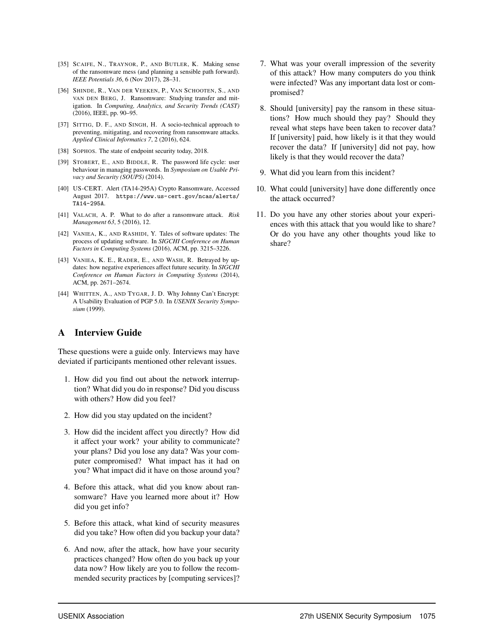- [35] SCAIFE, N., TRAYNOR, P., AND BUTLER, K. Making sense of the ransomware mess (and planning a sensible path forward). *IEEE Potentials 36*, 6 (Nov 2017), 28–31.
- [36] SHINDE, R., VAN DER VEEKEN, P., VAN SCHOOTEN, S., AND VAN DEN BERG, J. Ransomware: Studying transfer and mitigation. In *Computing, Analytics, and Security Trends (CAST)* (2016), IEEE, pp. 90–95.
- [37] SITTIG, D. F., AND SINGH, H. A socio-technical approach to preventing, mitigating, and recovering from ransomware attacks. *Applied Clinical Informatics 7*, 2 (2016), 624.
- [38] SOPHOS. The state of endpoint security today, 2018.
- [39] STOBERT, E., AND BIDDLE, R. The password life cycle: user behaviour in managing passwords. In *Symposium on Usable Privacy and Security (SOUPS)* (2014).
- [40] US-CERT. Alert (TA14-295A) Crypto Ransomware, Accessed August 2017. https://www.us-cert.gov/ncas/alerts/ TA14-295A.
- [41] VALACH, A. P. What to do after a ransomware attack. *Risk Management 63*, 5 (2016), 12.
- [42] VANIEA, K., AND RASHIDI, Y. Tales of software updates: The process of updating software. In *SIGCHI Conference on Human Factors in Computing Systems* (2016), ACM, pp. 3215–3226.
- [43] VANIEA, K. E., RADER, E., AND WASH, R. Betrayed by updates: how negative experiences affect future security. In *SIGCHI Conference on Human Factors in Computing Systems* (2014), ACM, pp. 2671–2674.
- [44] WHITTEN, A., AND TYGAR, J. D. Why Johnny Can't Encrypt: A Usability Evaluation of PGP 5.0. In *USENIX Security Symposium* (1999).

## A Interview Guide

These questions were a guide only. Interviews may have deviated if participants mentioned other relevant issues.

- 1. How did you find out about the network interruption? What did you do in response? Did you discuss with others? How did you feel?
- 2. How did you stay updated on the incident?
- 3. How did the incident affect you directly? How did it affect your work? your ability to communicate? your plans? Did you lose any data? Was your computer compromised? What impact has it had on you? What impact did it have on those around you?
- 4. Before this attack, what did you know about ransomware? Have you learned more about it? How did you get info?
- 5. Before this attack, what kind of security measures did you take? How often did you backup your data?
- 6. And now, after the attack, how have your security practices changed? How often do you back up your data now? How likely are you to follow the recommended security practices by [computing services]?
- 7. What was your overall impression of the severity of this attack? How many computers do you think were infected? Was any important data lost or compromised?
- 8. Should [university] pay the ransom in these situations? How much should they pay? Should they reveal what steps have been taken to recover data? If [university] paid, how likely is it that they would recover the data? If [university] did not pay, how likely is that they would recover the data?
- 9. What did you learn from this incident?
- 10. What could [university] have done differently once the attack occurred?
- 11. Do you have any other stories about your experiences with this attack that you would like to share? Or do you have any other thoughts youd like to share?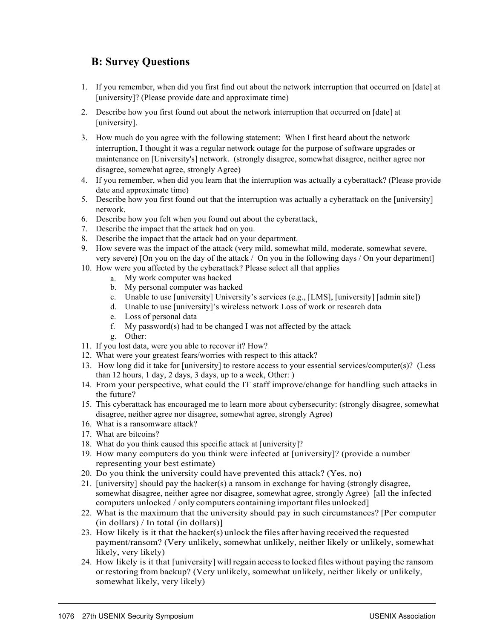## **B: Survey Questions**

- 1. If you remember, when did you first find out about the network interruption that occurred on [date] at [university]? (Please provide date and approximate time)
- 2. Describe how you first found out about the network interruption that occurred on [date] at [university].
- 3. How much do you agree with the following statement: When I first heard about the network interruption, I thought it was a regular network outage for the purpose of software upgrades or maintenance on [University's] network. (strongly disagree, somewhat disagree, neither agree nor disagree, somewhat agree, strongly Agree)
- 4. If you remember, when did you learn that the interruption was actually a cyberattack? (Please provide date and approximate time)
- 5. Describe how you first found out that the interruption was actually a cyberattack on the [university] network.
- 6. Describe how you felt when you found out about the cyberattack,
- 7. Describe the impact that the attack had on you.
- 8. Describe the impact that the attack had on your department.
- 9. How severe was the impact of the attack (very mild, somewhat mild, moderate, somewhat severe, very severe) [On you on the day of the attack / On you in the following days / On your department]
- 10. How were you affected by the cyberattack? Please select all that applies
	- a. My work computer was hacked
	- b. My personal computer was hacked
	- c. Unable to use [university] University's services (e.g., [LMS], [university] [admin site])
	- d. Unable to use [university]'s wireless network Loss of work or research data
	- e. Loss of personal data
	- f. My password(s) had to be changed I was not affected by the attack
	- g. Other:
- 11. If you lost data, were you able to recover it? How?
- 12. What were your greatest fears/worries with respect to this attack?
- 13. How long did it take for [university] to restore access to your essential services/computer(s)? (Less than 12 hours, 1 day, 2 days, 3 days, up to a week, Other: )
- 14. From your perspective, what could the IT staff improve/change for handling such attacks in the future?
- 15. This cyberattack has encouraged me to learn more about cybersecurity: (strongly disagree, somewhat disagree, neither agree nor disagree, somewhat agree, strongly Agree)
- 16. What is a ransomware attack?
- 17. What are bitcoins?
- 18. What do you think caused this specific attack at [university]?
- 19. How many computers do you think were infected at [university]? (provide a number representing your best estimate)
- 20. Do you think the university could have prevented this attack? (Yes, no)
- 21. [university] should pay the hacker(s) a ransom in exchange for having (strongly disagree, somewhat disagree, neither agree nor disagree, somewhat agree, strongly Agree) [all the infected computers unlocked / only computers containing important files unlocked]
- 22. What is the maximum that the university should pay in such circumstances? [Per computer (in dollars) / In total (in dollars)]
- 23. How likely is it that the hacker(s) unlock the files after having received the requested payment/ransom? (Very unlikely, somewhat unlikely, neither likely or unlikely, somewhat likely, very likely)
- 24. How likely is it that [university] willregain accessto locked files without paying the ransom or restoring from backup? (Very unlikely, somewhat unlikely, neither likely or unlikely, somewhat likely, very likely)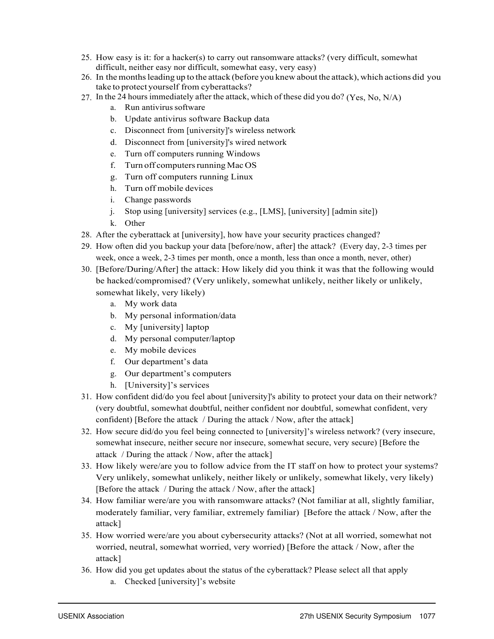- 25. How easy is it: for a hacker(s) to carry out ransomware attacks? (very difficult, somewhat difficult, neither easy nor difficult, somewhat easy, very easy)
- 26. In the monthsleading up to the attack (before you knew about the attack), which actions did you take to protect yourself from cyberattacks?
- 27. In the 24 hours immediately after the attack, which of these did you do? (Yes, No, N/A)
	- a. Run antivirus software
	- b. Update antivirus software Backup data
	- c. Disconnect from [university]'s wireless network
	- d. Disconnect from [university]'s wired network
	- e. Turn off computers running Windows
	- f. Turn off computers running Mac  $OS$
	- g. Turn off computers running Linux
	- h. Turn off mobile devices
	- i. Change passwords
	- j. Stop using [university] services (e.g., [LMS], [university] [admin site])
	- k. Other
- 28. After the cyberattack at [university], how have your security practices changed?
- 29. How often did you backup your data [before/now, after] the attack? (Every day, 2-3 times per week, once a week, 2-3 times per month, once a month, less than once a month, never, other)
- 30. [Before/During/After] the attack: How likely did you think it was that the following would be hacked/compromised? (Very unlikely, somewhat unlikely, neither likely or unlikely, somewhat likely, very likely)
	- a. My work data
	- b. My personal information/data
	- c. My [university] laptop
	- d. My personal computer/laptop
	- e. My mobile devices
	- f. Our department's data
	- g. Our department's computers
	- h. [University]'s services
- 31. How confident did/do you feel about [university]'s ability to protect your data on their network? (very doubtful, somewhat doubtful, neither confident nor doubtful, somewhat confident, very confident) [Before the attack / During the attack / Now, after the attack]
- 32. How secure did/do you feel being connected to [university]'s wireless network? (very insecure, somewhat insecure, neither secure nor insecure, somewhat secure, very secure) [Before the attack / During the attack / Now, after the attack]
- 33. How likely were/are you to follow advice from the IT staff on how to protect your systems? Very unlikely, somewhat unlikely, neither likely or unlikely, somewhat likely, very likely) [Before the attack / During the attack / Now, after the attack]
- 34. How familiar were/are you with ransomware attacks? (Not familiar at all, slightly familiar, moderately familiar, very familiar, extremely familiar) [Before the attack / Now, after the attack]
- 35. How worried were/are you about cybersecurity attacks? (Not at all worried, somewhat not worried, neutral, somewhat worried, very worried) [Before the attack / Now, after the attack]
- 36. How did you get updates about the status of the cyberattack? Please select all that apply
	- a. Checked [university]'s website